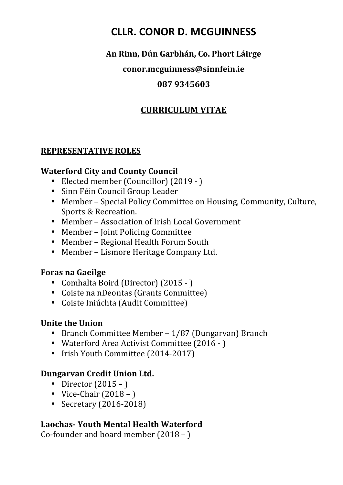# **CLLR. CONOR D. MCGUINNESS**

# **An Rinn, Dún Garbhán, Co. Phort Láirge**

### **conor.mcguinness@sinnfein.ie**

#### **087 9345603**

# **CURRICULUM VITAE**

### **REPRESENTATIVE ROLES**

#### **Waterford City and County Council**

- Elected member (Councillor) (2019 )
- Sinn Féin Council Group Leader
- Member Special Policy Committee on Housing, Community, Culture, Sports & Recreation.
- Member Association of Irish Local Government
- Member Joint Policing Committee
- Member Regional Health Forum South
- Member Lismore Heritage Company Ltd.

#### **Foras na Gaeilge**

- Comhalta Boird (Director) (2015 )
- Coiste na nDeontas (Grants Committee)
- Coiste Iniúchta (Audit Committee)

# **Unite the Union**

- Branch Committee Member 1/87 (Dungarvan) Branch
- Waterford Area Activist Committee (2016 )
- Irish Youth Committee (2014-2017)

# **Dungarvan Credit Union Ltd.**

- Director  $(2015 )$
- Vice-Chair  $(2018 )$
- Secretary (2016-2018)

# **Laochas- Youth Mental Health Waterford**

Co-founder and board member  $(2018 - )$